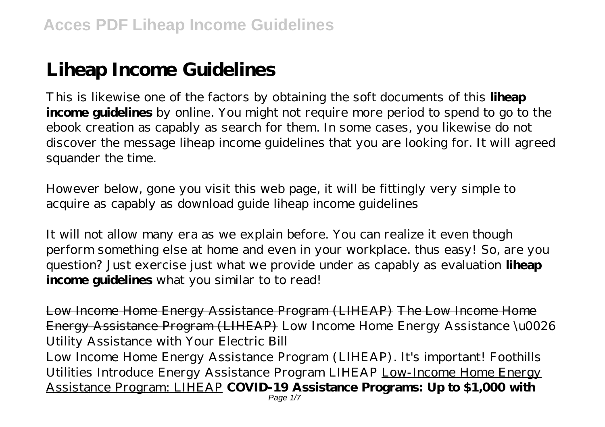## **Liheap Income Guidelines**

This is likewise one of the factors by obtaining the soft documents of this **liheap income guidelines** by online. You might not require more period to spend to go to the ebook creation as capably as search for them. In some cases, you likewise do not discover the message liheap income guidelines that you are looking for. It will agreed squander the time.

However below, gone you visit this web page, it will be fittingly very simple to acquire as capably as download guide liheap income guidelines

It will not allow many era as we explain before. You can realize it even though perform something else at home and even in your workplace. thus easy! So, are you question? Just exercise just what we provide under as capably as evaluation **liheap income guidelines** what you similar to to read!

Low Income Home Energy Assistance Program (LIHEAP) The Low Income Home Energy Assistance Program (LIHEAP) Low Income Home Energy Assistance \u0026 Utility Assistance with Your Electric Bill

Low Income Home Energy Assistance Program (LIHEAP). It's important! Foothills Utilities Introduce Energy Assistance Program LIHEAP Low-Income Home Energy Assistance Program: LIHEAP **COVID-19 Assistance Programs: Up to \$1,000 with**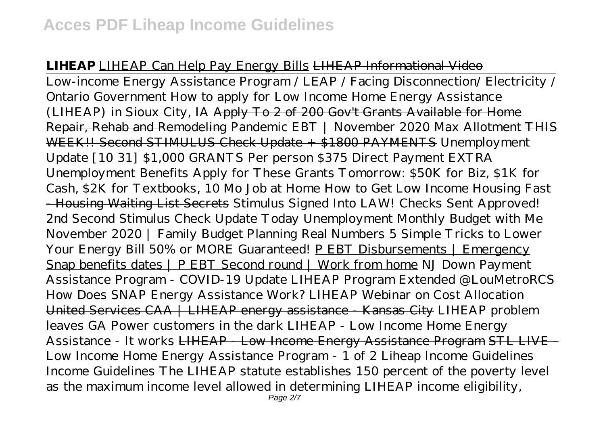## **LIHEAP** LIHEAP Can Help Pay Energy Bills LIHEAP Informational Video

Low-income Energy Assistance Program / LEAP / Facing Disconnection/ Electricity / Ontario Government How to apply for Low Income Home Energy Assistance (LIHEAP) in Sioux City, IA Apply To 2 of 200 Gov't Grants Available for Home Repair, Rehab and Remodeling *Pandemic EBT | November 2020 Max Allotment* THIS WEEK!! Second STIMULUS Check Update + \$1800 PAYMENTS Unemployment Update [10 31] \$1,000 GRANTS Per person \$375 Direct Payment EXTRA Unemployment Benefits Apply for These Grants Tomorrow: \$50K for Biz, \$1K for Cash, \$2K for Textbooks, 10 Mo Job at Home How to Get Low Income Housing Fast - Housing Waiting List Secrets *Stimulus Signed Into LAW! Checks Sent Approved! 2nd Second Stimulus Check Update Today Unemployment* Monthly Budget with Me November 2020 | Family Budget Planning Real Numbers 5 Simple Tricks to Lower Your Energy Bill 50% or MORE Guaranteed! P EBT Disbursements | Emergency Snap benefits dates | P EBT Second round | Work from home *NJ Down Payment Assistance Program - COVID-19 Update LIHEAP Program Extended @LouMetroRCS* How Does SNAP Energy Assistance Work? LIHEAP Webinar on Cost Allocation United Services CAA | LIHEAP energy assistance - Kansas City *LIHEAP problem leaves GA Power customers in the dark* LIHEAP - Low Income Home Energy Assistance - It works LIHEAP - Low Income Energy Assistance Program STL LIVE - Low Income Home Energy Assistance Program - 1 of 2 Liheap Income Guidelines Income Guidelines The LIHEAP statute establishes 150 percent of the poverty level as the maximum income level allowed in determining LIHEAP income eligibility,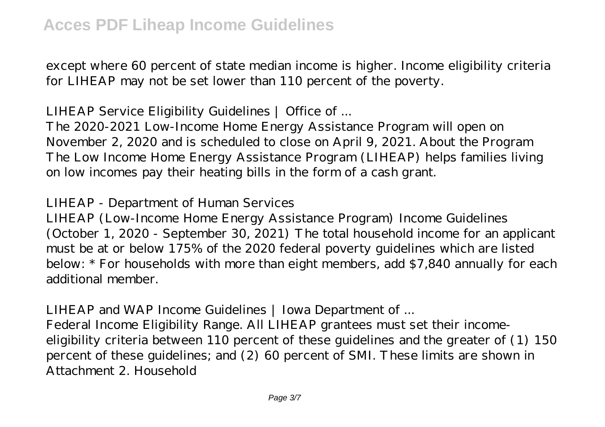except where 60 percent of state median income is higher. Income eligibility criteria for LIHEAP may not be set lower than 110 percent of the poverty.

LIHEAP Service Eligibility Guidelines | Office of ...

The 2020-2021 Low-Income Home Energy Assistance Program will open on November 2, 2020 and is scheduled to close on April 9, 2021. About the Program The Low Income Home Energy Assistance Program (LIHEAP) helps families living on low incomes pay their heating bills in the form of a cash grant.

LIHEAP - Department of Human Services

LIHEAP (Low-Income Home Energy Assistance Program) Income Guidelines (October 1, 2020 - September 30, 2021) The total household income for an applicant must be at or below 175% of the 2020 federal poverty guidelines which are listed below: \* For households with more than eight members, add \$7,840 annually for each additional member.

LIHEAP and WAP Income Guidelines | Iowa Department of ... Federal Income Eligibility Range. All LIHEAP grantees must set their incomeeligibility criteria between 110 percent of these guidelines and the greater of (1) 150 percent of these guidelines; and (2) 60 percent of SMI. These limits are shown in Attachment 2. Household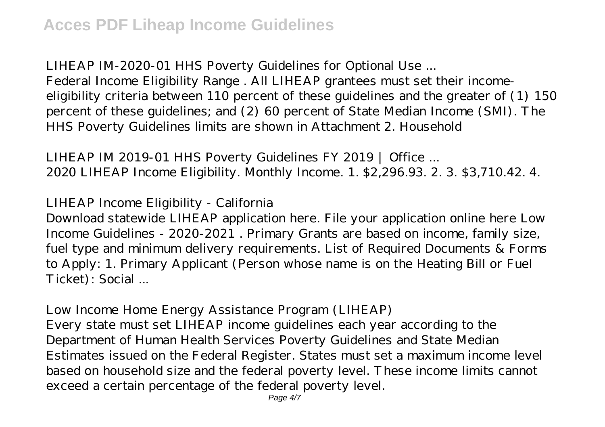LIHEAP IM-2020-01 HHS Poverty Guidelines for Optional Use ... Federal Income Eligibility Range . All LIHEAP grantees must set their incomeeligibility criteria between 110 percent of these guidelines and the greater of (1) 150 percent of these guidelines; and (2) 60 percent of State Median Income (SMI). The HHS Poverty Guidelines limits are shown in Attachment 2. Household

LIHEAP IM 2019-01 HHS Poverty Guidelines FY 2019 | Office ... 2020 LIHEAP Income Eligibility. Monthly Income. 1. \$2,296.93. 2. 3. \$3,710.42. 4.

LIHEAP Income Eligibility - California

Download statewide LIHEAP application here. File your application online here Low Income Guidelines - 2020-2021 . Primary Grants are based on income, family size, fuel type and minimum delivery requirements. List of Required Documents & Forms to Apply: 1. Primary Applicant (Person whose name is on the Heating Bill or Fuel Ticket): Social ...

Low Income Home Energy Assistance Program (LIHEAP) Every state must set LIHEAP income guidelines each year according to the Department of Human Health Services Poverty Guidelines and State Median Estimates issued on the Federal Register. States must set a maximum income level based on household size and the federal poverty level. These income limits cannot exceed a certain percentage of the federal poverty level.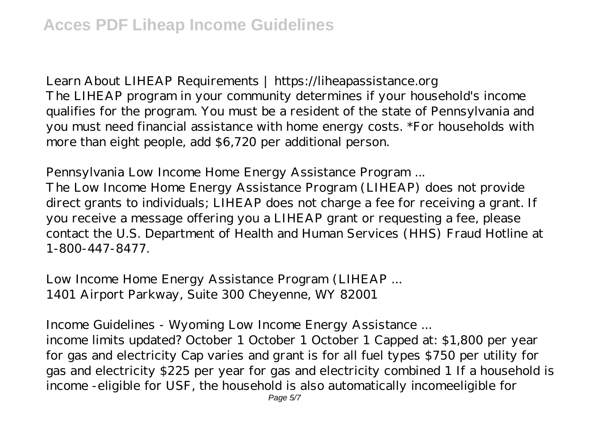Learn About LIHEAP Requirements | https://liheapassistance.org The LIHEAP program in your community determines if your household's income qualifies for the program. You must be a resident of the state of Pennsylvania and you must need financial assistance with home energy costs. \*For households with more than eight people, add \$6,720 per additional person.

Pennsylvania Low Income Home Energy Assistance Program ... The Low Income Home Energy Assistance Program (LIHEAP) does not provide direct grants to individuals; LIHEAP does not charge a fee for receiving a grant. If you receive a message offering you a LIHEAP grant or requesting a fee, please contact the U.S. Department of Health and Human Services (HHS) Fraud Hotline at 1-800-447-8477.

Low Income Home Energy Assistance Program (LIHEAP ... 1401 Airport Parkway, Suite 300 Cheyenne, WY 82001

Income Guidelines - Wyoming Low Income Energy Assistance ... income limits updated? October 1 October 1 October 1 Capped at: \$1,800 per year for gas and electricity Cap varies and grant is for all fuel types \$750 per utility for gas and electricity \$225 per year for gas and electricity combined 1 If a household is income -eligible for USF, the household is also automatically incomeeligible for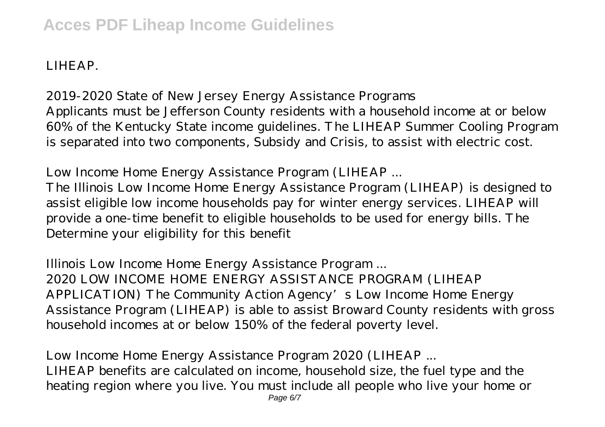LIHEAP.

2019-2020 State of New Jersey Energy Assistance Programs Applicants must be Jefferson County residents with a household income at or below 60% of the Kentucky State income guidelines. The LIHEAP Summer Cooling Program is separated into two components, Subsidy and Crisis, to assist with electric cost.

Low Income Home Energy Assistance Program (LIHEAP ...

The Illinois Low Income Home Energy Assistance Program (LIHEAP) is designed to assist eligible low income households pay for winter energy services. LIHEAP will provide a one-time benefit to eligible households to be used for energy bills. The Determine your eligibility for this benefit

Illinois Low Income Home Energy Assistance Program ... 2020 LOW INCOME HOME ENERGY ASSISTANCE PROGRAM (LIHEAP APPLICATION) The Community Action Agency's Low Income Home Energy Assistance Program (LIHEAP) is able to assist Broward County residents with gross household incomes at or below 150% of the federal poverty level.

Low Income Home Energy Assistance Program 2020 (LIHEAP ... LIHEAP benefits are calculated on income, household size, the fuel type and the heating region where you live. You must include all people who live your home or